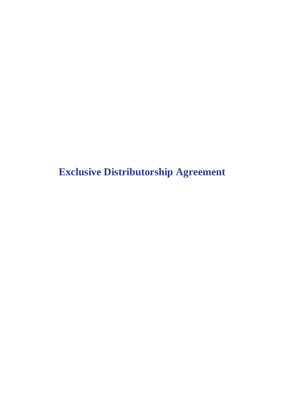**Exclusive Distributorship Agreement**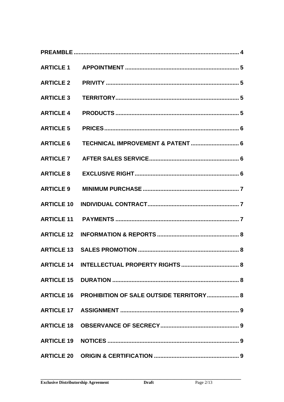| <b>ARTICLE 10</b> |                                                    |
|-------------------|----------------------------------------------------|
|                   |                                                    |
|                   |                                                    |
|                   |                                                    |
|                   |                                                    |
|                   |                                                    |
|                   | ARTICLE 16 PROHIBITION OF SALE OUTSIDE TERRITORY 8 |
|                   |                                                    |
|                   |                                                    |
|                   |                                                    |
|                   |                                                    |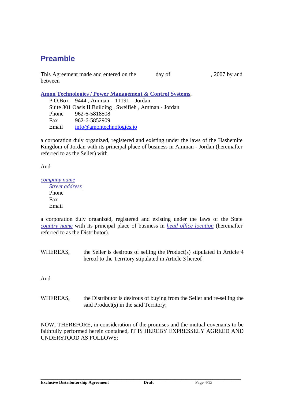## **Preamble**

This Agreement made and entered on the day of , 2007 by and between

**Amon Technologies / Power Management & Control Systems**,

P.O.Box 9444 , Amman – 11191 – Jordan Suite 301 Oasis II Building , Sweifieh , Amman - Jordan Phone 962-6-5818508 Fax 962-6-5852909 Email info@amontechnologies.jo

a corporation duly organized, registered and existing under the laws of the Hashemite Kingdom of Jordan with its principal place of business in Amman - Jordan (hereinafter referred to as the Seller) with

And

*company name Street address*

Phone Fax Email

a corporation duly organized, registered and existing under the laws of the State *country name* with its principal place of business in *head office location* (hereinafter referred to as the Distributor).

WHEREAS, the Seller is desirous of selling the Product(s) stipulated in Article 4 hereof to the Territory stipulated in Article 3 hereof

And

WHEREAS, the Distributor is desirous of buying from the Seller and re-selling the said Product(s) in the said Territory;

NOW, THEREFORE, in consideration of the promises and the mutual covenants to be faithfully performed herein contained, IT IS HEREBY EXPRESSELY AGREED AND UNDERSTOOD AS FOLLOWS: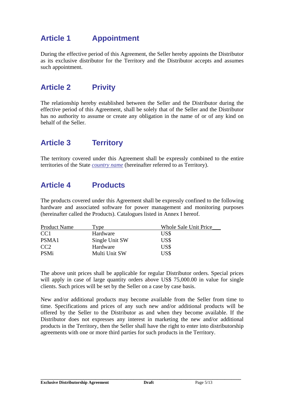## **Article 1 Appointment**

During the effective period of this Agreement, the Seller hereby appoints the Distributor as its exclusive distributor for the Territory and the Distributor accepts and assumes such appointment.

### **Article 2 Privity**

The relationship hereby established between the Seller and the Distributor during the effective period of this Agreement, shall be solely that of the Seller and the Distributor has no authority to assume or create any obligation in the name of or of any kind on behalf of the Seller.

## **Article 3 Territory**

The territory covered under this Agreement shall be expressly combined to the entire territories of the State *country name* (hereinafter referred to as Territory).

### **Article 4 Products**

The products covered under this Agreement shall be expressly confined to the following hardware and associated software for power management and monitoring purposes (hereinafter called the Products). Catalogues listed in Annex I hereof.

| <b>Product Name</b> | vpe:           | Whole Sale Unit Price |
|---------------------|----------------|-----------------------|
| CC <sub>1</sub>     | Hardware       | US\$                  |
| PSMA1               | Single Unit SW | US\$                  |
| CC <sub>2</sub>     | Hardware       | US\$                  |
| <b>PSMi</b>         | Multi Unit SW  | US\$                  |

The above unit prices shall be applicable for regular Distributor orders. Special prices will apply in case of large quantity orders above US\$ 75,000,00 in value for single clients. Such prices will be set by the Seller on a case by case basis.

New and/or additional products may become available from the Seller from time to time. Specifications and prices of any such new and/or additional products will be offered by the Seller to the Distributor as and when they become available. If the Distributor does not expresses any interest in marketing the new and/or additional products in the Territory, then the Seller shall have the right to enter into distributorship agreements with one or more third parties for such products in the Territory.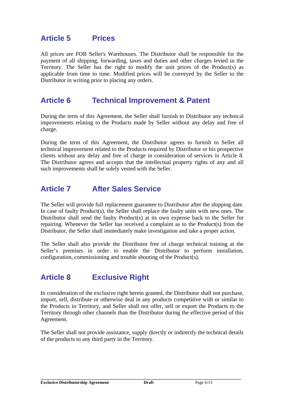### **Article 5 Prices**

All prices are FOB Seller's Warehouses. The Distributor shall be responsible for the payment of all shipping, forwarding, taxes and duties and other charges levied in the Territory. The Seller has the right to modify the unit prices of the Product(s) as applicable from time to time. Modified prices will be conveyed by the Seller to the Distributor in writing prior to placing any orders.

#### **Article 6 Technical Improvement & Patent**

During the term of this Agreement, the Seller shall furnish to Distributor any technical improvements relating to the Products made by Seller without any delay and free of charge.

During the term of this Agreement, the Distributor agrees to furnish to Seller all technical improvement related to the Products required by Distributor or his prospective clients without any delay and free of charge in consideration of services in Article 8. The Distributor agrees and accepts that the intellectual property rights of any and all such improvements shall be solely vested with the Seller.

### **Article 7 After Sales Service**

The Seller will provide full replacement guarantee to Distributor after the shipping date. In case of faulty Product(s), the Seller shall replace the faulty units with new ones. The Distributor shall send the faulty Product(s) at its own expense back to the Seller for repairing. Whenever the Seller has received a complaint as to the Product(s) from the Distributor, the Seller shall immediately make investigation and take a proper action.

The Seller shall also provide the Distributor free of charge technical training at the Seller's premises in order to enable the Distributor to perform installation, configuration, commissioning and trouble shooting of the Product(s).

## **Article 8 Exclusive Right**

In consideration of the exclusive right herein granted, the Distributor shall not purchase, import, sell, distribute or otherwise deal in any products competitive with or similar to the Products in Territory, and Seller shall not offer, sell or export the Products to the Territory through other channels than the Distributor during the effective period of this Agreement.

The Seller shall not provide assistance, supply directly or indirectly the technical details of the products to any third party in the Territory.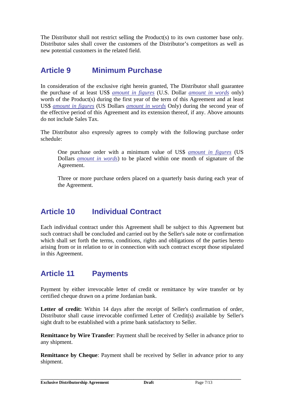The Distributor shall not restrict selling the Product(s) to its own customer base only. Distributor sales shall cover the customers of the Distributor's competitors as well as new potential customers in the related field.

## **Article 9 Minimum Purchase**

In consideration of the exclusive right herein granted, The Distributor shall guarantee the purchase of at least US\$ *amount in figures* (U.S. Dollar *amount in words* only) worth of the Product(s) during the first year of the term of this Agreement and at least US\$ *amount in figures* (US Dollars *amount in words* Only) during the second year of the effective period of this Agreement and its extension thereof, if any. Above amounts do not include Sales Tax.

The Distributor also expressly agrees to comply with the following purchase order schedule:

One purchase order with a minimum value of US\$ *amount in figures* (US Dollars *amount in words*) to be placed within one month of signature of the Agreement.

Three or more purchase orders placed on a quarterly basis during each year of the Agreement.

## **Article 10 Individual Contract**

Each individual contract under this Agreement shall be subject to this Agreement but such contract shall be concluded and carried out by the Seller's sale note or confirmation which shall set forth the terms, conditions, rights and obligations of the parties hereto arising from or in relation to or in connection with such contract except those stipulated in this Agreement.

## **Article 11 Payments**

Payment by either irrevocable letter of credit or remittance by wire transfer or by certified cheque drawn on a prime Jordanian bank.

Letter of credit: Within 14 days after the receipt of Seller's confirmation of order, Distributor shall cause irrevocable confirmed Letter of Credit(s) available by Seller's sight draft to be established with a prime bank satisfactory to Seller.

**Remittance by Wire Transfer**: Payment shall be received by Seller in advance prior to any shipment.

**Remittance by Cheque**: Payment shall be received by Seller in advance prior to any shipment.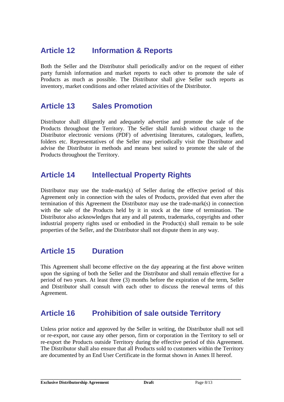## **Article 12 Information & Reports**

Both the Seller and the Distributor shall periodically and/or on the request of either party furnish information and market reports to each other to promote the sale of Products as much as possible. The Distributor shall give Seller such reports as inventory, market conditions and other related activities of the Distributor.

### **Article 13 Sales Promotion**

Distributor shall diligently and adequately advertise and promote the sale of the Products throughout the Territory. The Seller shall furnish without charge to the Distributor electronic versions (PDF) of advertising literatures, catalogues, leaflets, folders etc. Representatives of the Seller may periodically visit the Distributor and advise the Distributor in methods and means best suited to promote the sale of the Products throughout the Territory.

#### **Article 14 Intellectual Property Rights**

Distributor may use the trade-mark(s) of Seller during the effective period of this Agreement only in connection with the sales of Products, provided that even after the termination of this Agreement the Distributor may use the trade-mark(s) in connection with the sale of the Products held by it in stock at the time of termination. The Distributor also acknowledges that any and all patents, trademarks, copyrights and other industrial property rights used or embodied in the Product(s) shall remain to be sole properties of the Seller, and the Distributor shall not dispute them in any way.

## **Article 15 Duration**

This Agreement shall become effective on the day appearing at the first above written upon the signing of both the Seller and the Distributor and shall remain effective for a period of two years. At least three (3) months before the expiration of the term, Seller and Distributor shall consult with each other to discuss the renewal terms of this Agreement.

## **Article 16 Prohibition of sale outside Territory**

Unless prior notice and approved by the Seller in writing, the Distributor shall not sell or re-export, nor cause any other person, firm or corporation in the Territory to sell or re-export the Products outside Territory during the effective period of this Agreement. The Distributor shall also ensure that all Products sold to customers within the Territory are documented by an End User Certificate in the format shown in Annex II hereof.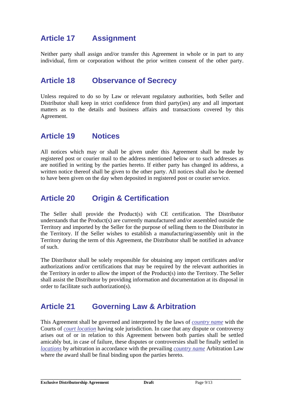## **Article 17 Assignment**

Neither party shall assign and/or transfer this Agreement in whole or in part to any individual, firm or corporation without the prior written consent of the other party.

#### **Article 18 Observance of Secrecy**

Unless required to do so by Law or relevant regulatory authorities, both Seller and Distributor shall keep in strict confidence from third party(ies) any and all important matters as to the details and business affairs and transactions covered by this Agreement.

#### **Article 19 Notices**

All notices which may or shall be given under this Agreement shall be made by registered post or courier mail to the address mentioned below or to such addresses as are notified in writing by the parties hereto. If either party has changed its address, a written notice thereof shall be given to the other party. All notices shall also be deemed to have been given on the day when deposited in registered post or courier service.

### **Article 20 Origin & Certification**

The Seller shall provide the Product(s) with CE certification. The Distributor understands that the Product(s) are currently manufactured and/or assembled outside the Territory and imported by the Seller for the purpose of selling them to the Distributor in the Territory. If the Seller wishes to establish a manufacturing/assembly unit in the Territory during the term of this Agreement, the Distributor shall be notified in advance of such.

The Distributor shall be solely responsible for obtaining any import certificates and/or authorizations and/or certifications that may be required by the relevant authorities in the Territory in order to allow the import of the Product(s) into the Territory. The Seller shall assist the Distributor by providing information and documentation at its disposal in order to facilitate such authorization(s).

## **Article 21 Governing Law & Arbitration**

This Agreement shall be governed and interpreted by the laws of *country name* with the Courts of *court location* having sole jurisdiction. In case that any dispute or controversy arises out of or in relation to this Agreement between both parties shall be settled amicably but, in case of failure, these disputes or controversies shall be finally settled in *locations* by arbitration in accordance with the prevailing *country name* Arbitration Law where the award shall be final binding upon the parties hereto.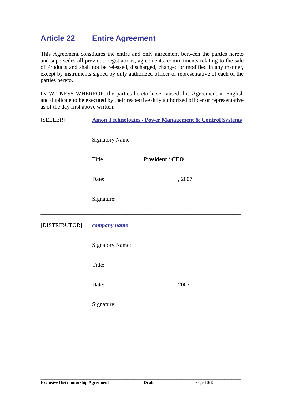## **Article 22 Entire Agreement**

This Agreement constitutes the entire and only agreement between the parties hereto and supersedes all previous negotiations, agreements, commitments relating to the sale of Products and shall not be released, discharged, changed or modified in any manner, except by instruments signed by duly authorized officer or representative of each of the parties hereto.

IN WITNESS WHEREOF, the parties hereto have caused this Agreement in English and duplicate to be executed by their respective duly authorized officer or representative as of the day first above written.

| [SELLER]      | <b>Amon Technologies / Power Management &amp; Control Systems</b> |                        |  |
|---------------|-------------------------------------------------------------------|------------------------|--|
|               | <b>Signatory Name</b>                                             |                        |  |
|               | Title                                                             | <b>President / CEO</b> |  |
|               | Date:                                                             | , 2007                 |  |
|               | Signature:                                                        |                        |  |
| [DISTRIBUTOR] | company name                                                      |                        |  |
|               | <b>Signatory Name:</b>                                            |                        |  |
|               | Title:                                                            |                        |  |
|               | Date:                                                             | , 2007                 |  |
|               | Signature:                                                        |                        |  |

**\_\_\_\_\_\_\_\_\_\_\_\_\_\_\_\_\_\_\_\_\_\_\_\_\_\_\_\_\_\_\_\_\_\_\_\_\_\_\_\_\_\_\_\_\_\_\_\_\_\_\_\_\_\_\_\_\_\_\_\_\_\_\_\_\_\_\_\_\_\_\_\_\_\_\_\_\_\_\_\_\_\_\_\_**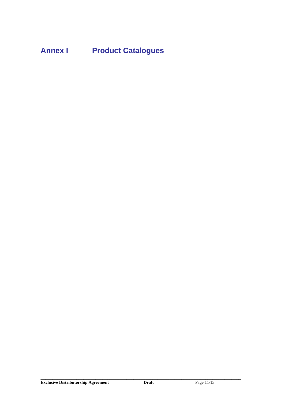**Annex I Product Catalogues**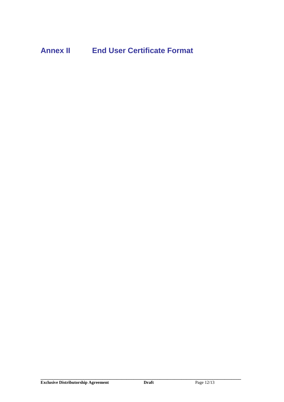# **Annex II End User Certificate Format**